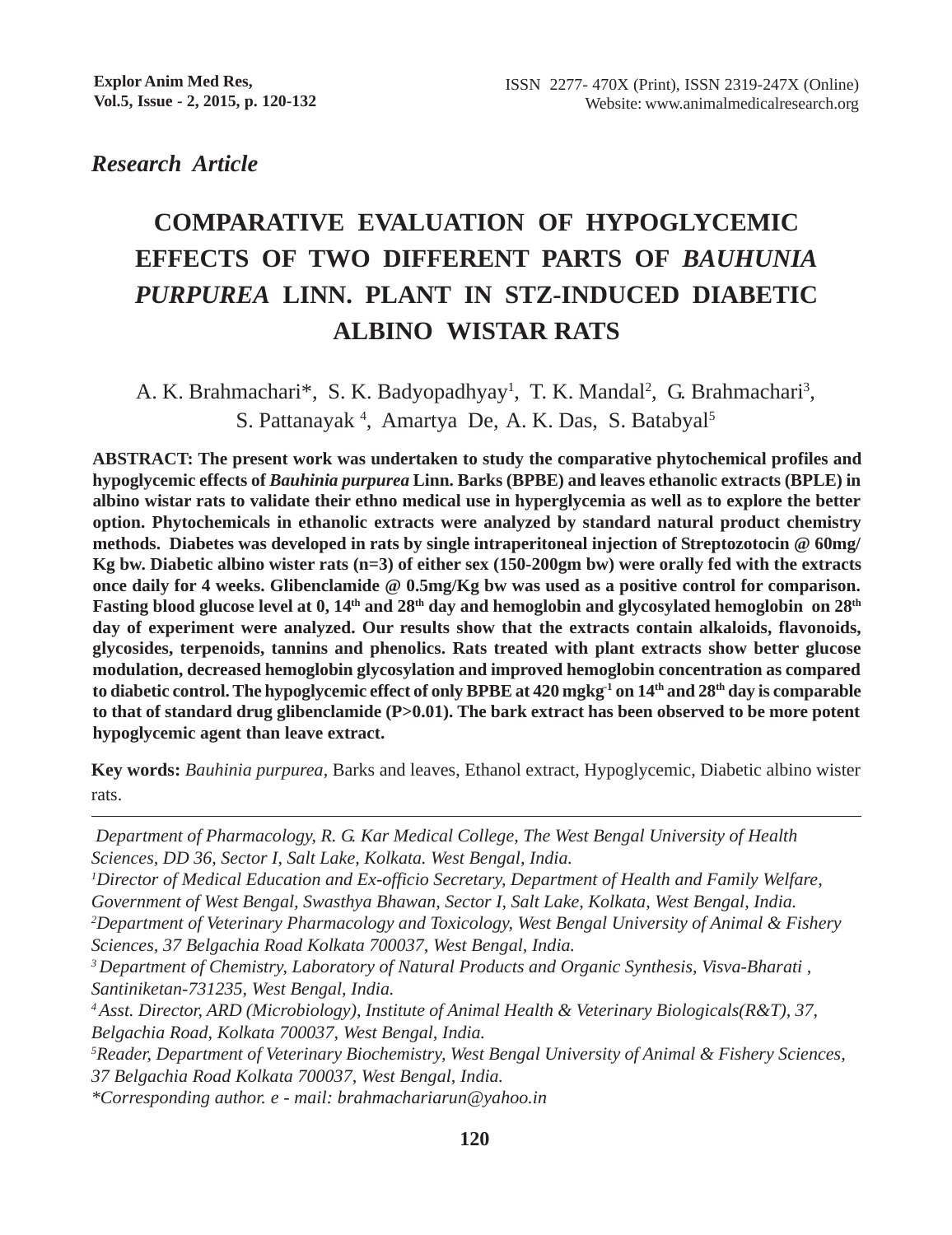*Research Article*

# **COMPARATIVE EVALUATION OF HYPOGLYCEMIC EFFECTS OF TWO DIFFERENT PARTS OF** *BAUHUNIA PURPUREA* **LINN.****PLANT IN STZ-INDUCED DIABETIC ALBINO WISTAR RATS**

A. K. Brahmachari\*, S. K. Badyopadhyay<sup>1</sup>, T. K. Mandal<sup>2</sup>, G. Brahmachari<sup>3</sup>, S. Pattanayak<sup>4</sup>, Amartya De, A. K. Das, S. Batabyal<sup>5</sup>

**ABSTRACT: The present work was undertaken to study the comparative phytochemical profiles and hypoglycemic effects of** *Bauhinia purpurea* **Linn. Barks (BPBE) and leaves ethanolic extracts (BPLE) in albino wistar rats to validate their ethno medical use in hyperglycemia as well as to explore the better option. Phytochemicals in ethanolic extracts were analyzed by standard natural product chemistry methods. Diabetes was developed in rats by single intraperitoneal injection of Streptozotocin @ 60mg/ Kg bw. Diabetic albino wister rats (n=3) of either sex (150-200gm bw) were orally fed with the extracts once daily for 4 weeks. Glibenclamide @ 0.5mg/Kg bw was used as a positive control for comparison.** Fasting blood glucose level at 0, 14<sup>th</sup> and 28<sup>th</sup> day and hemoglobin and glycosylated hemoglobin on 28<sup>th</sup> **day of experiment were analyzed. Our results show that the extracts contain alkaloids, flavonoids, glycosides, terpenoids, tannins and phenolics. Rats treated with plant extracts show better glucose modulation, decreased hemoglobin glycosylation and improved hemoglobin concentration as compared to diabetic control. The hypoglycemic effect of only BPBE at 420 mgkg-1 on 14th and 28th day is comparable to that of standard drug glibenclamide (P>0.01). The bark extract has been observed to be more potent hypoglycemic agent than leave extract.**

**Key words:** *Bauhinia purpurea*, Barks and leaves, Ethanol extract, Hypoglycemic, Diabetic albino wister rats.

 *Department of Pharmacology, R. G. Kar Medical College, The West Bengal University of Health Sciences, DD 36, Sector I, Salt Lake, Kolkata. West Bengal, India.*

*1 Director of Medical Education and Ex-officio Secretary, Department of Health and Family Welfare, Government of West Bengal, Swasthya Bhawan, Sector I, Salt Lake, Kolkata, West Bengal, India.*

*2 Department of Veterinary Pharmacology and Toxicology, West Bengal University of Animal & Fishery Sciences, 37 Belgachia Road Kolkata 700037, West Bengal, India.*

*3 Department of Chemistry, Laboratory of Natural Products and Organic Synthesis, Visva-Bharati , Santiniketan-731235, West Bengal, India.*

*4 Asst. Director, ARD (Microbiology), Institute of Animal Health & Veterinary Biologicals(R&T), 37, Belgachia Road, Kolkata 700037, West Bengal, India.*

*5 Reader, Department of Veterinary Biochemistry, West Bengal University of Animal & Fishery Sciences, 37 Belgachia Road Kolkata 700037, West Bengal, India.*

*\*Corresponding author. e - mail: brahmachariarun@yahoo.in*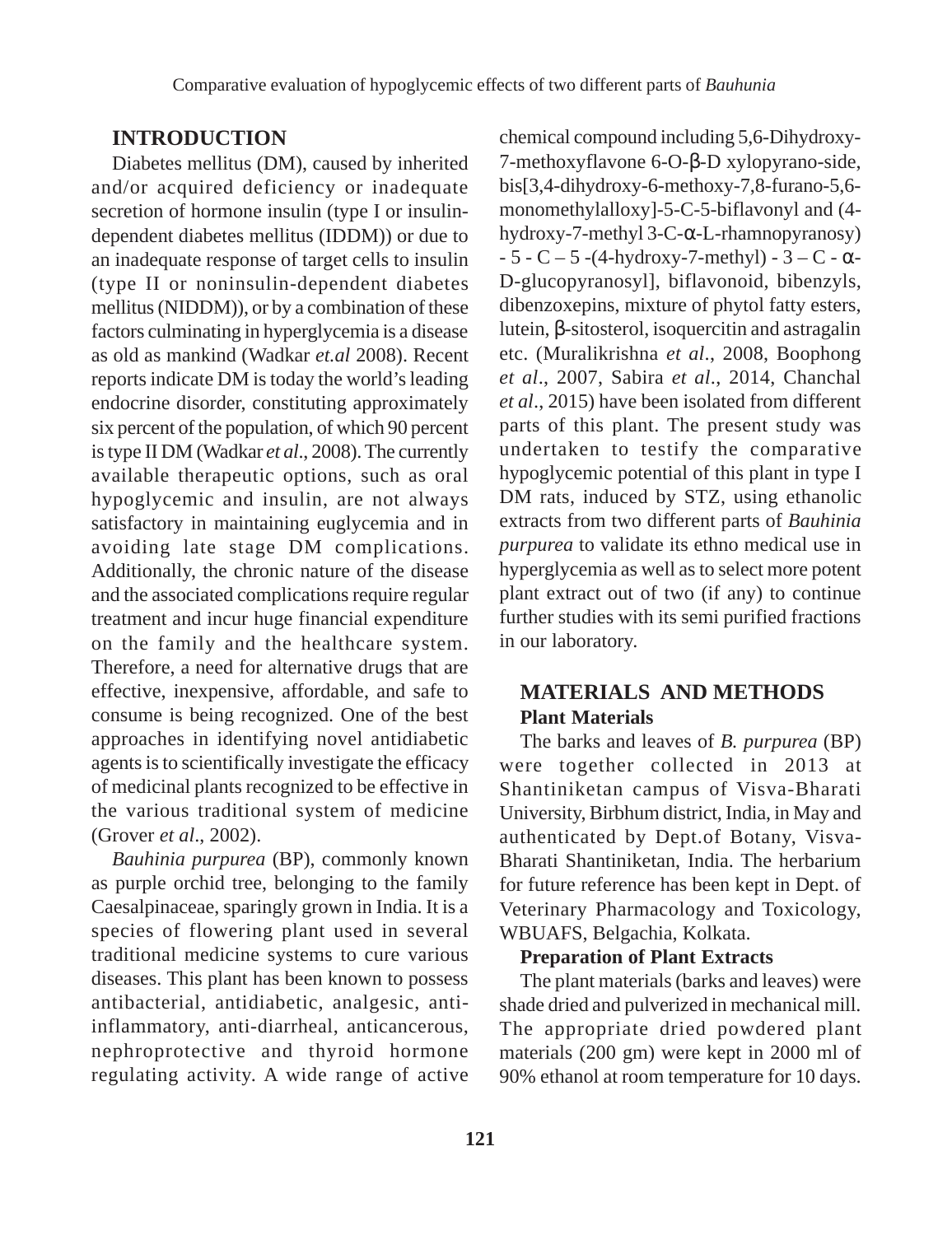# **INTRODUCTION**

Diabetes mellitus (DM), caused by inherited and/or acquired deficiency or inadequate secretion of hormone insulin (type I or insulindependent diabetes mellitus (IDDM)) or due to an inadequate response of target cells to insulin (type II or noninsulin-dependent diabetes mellitus (NIDDM)), or by a combination of these factors culminating in hyperglycemia is a disease as old as mankind (Wadkar *et.al* 2008). Recent reports indicate DM is today the world's leading endocrine disorder, constituting approximately six percent of the population, of which 90 percent is type II DM (Wadkar *et al*., 2008). The currently available therapeutic options, such as oral hypoglycemic and insulin, are not always satisfactory in maintaining euglycemia and in avoiding late stage DM complications. Additionally, the chronic nature of the disease and the associated complications require regular treatment and incur huge financial expenditure on the family and the healthcare system. Therefore, a need for alternative drugs that are effective, inexpensive, affordable, and safe to consume is being recognized. One of the best approaches in identifying novel antidiabetic agents is to scientifically investigate the efficacy of medicinal plants recognized to be effective in the various traditional system of medicine (Grover *et al*., 2002).

*Bauhinia purpurea* (BP), commonly known as purple orchid tree, belonging to the family Caesalpinaceae, sparingly grown in India. It is a species of flowering plant used in several traditional medicine systems to cure various diseases. This plant has been known to possess antibacterial, antidiabetic, analgesic, antiinflammatory, anti-diarrheal, anticancerous, nephroprotective and thyroid hormone regulating activity. A wide range of active

chemical compound including 5,6-Dihydroxy-7-methoxyflavone 6-O-β-D xylopyrano-side, bis[3,4-dihydroxy-6-methoxy-7,8-furano-5,6 monomethylalloxy]-5-C-5-biflavonyl and (4 hydroxy-7-methyl 3-C-α-L-rhamnopyranosy)  $-5 - C - 5 - (4-hydroxy-7-methyl) - 3 - C - \alpha$ D-glucopyranosyl], biflavonoid, bibenzyls, dibenzoxepins, mixture of phytol fatty esters, lutein, β-sitosterol, isoquercitin and astragalin etc. (Muralikrishna *et al*., 2008, Boophong *et al*., 2007, Sabira *et al*., 2014, Chanchal *et al*., 2015) have been isolated from different parts of this plant. The present study was undertaken to testify the comparative hypoglycemic potential of this plant in type I DM rats, induced by STZ, using ethanolic extracts from two different parts of *Bauhinia purpurea* to validate its ethno medical use in hyperglycemia as well as to select more potent plant extract out of two (if any) to continue further studies with its semi purified fractions in our laboratory.

# **MATERIALS AND METHODS Plant Materials**

The barks and leaves of *B. purpurea* (BP) were together collected in 2013 at Shantiniketan campus of Visva-Bharati University, Birbhum district, India, in May and authenticated by Dept.of Botany, Visva-Bharati Shantiniketan, India. The herbarium for future reference has been kept in Dept. of Veterinary Pharmacology and Toxicology, WBUAFS, Belgachia, Kolkata.

#### **Preparation of Plant Extracts**

The plant materials (barks and leaves) were shade dried and pulverized in mechanical mill. The appropriate dried powdered plant materials (200 gm) were kept in 2000 ml of 90% ethanol at room temperature for 10 days.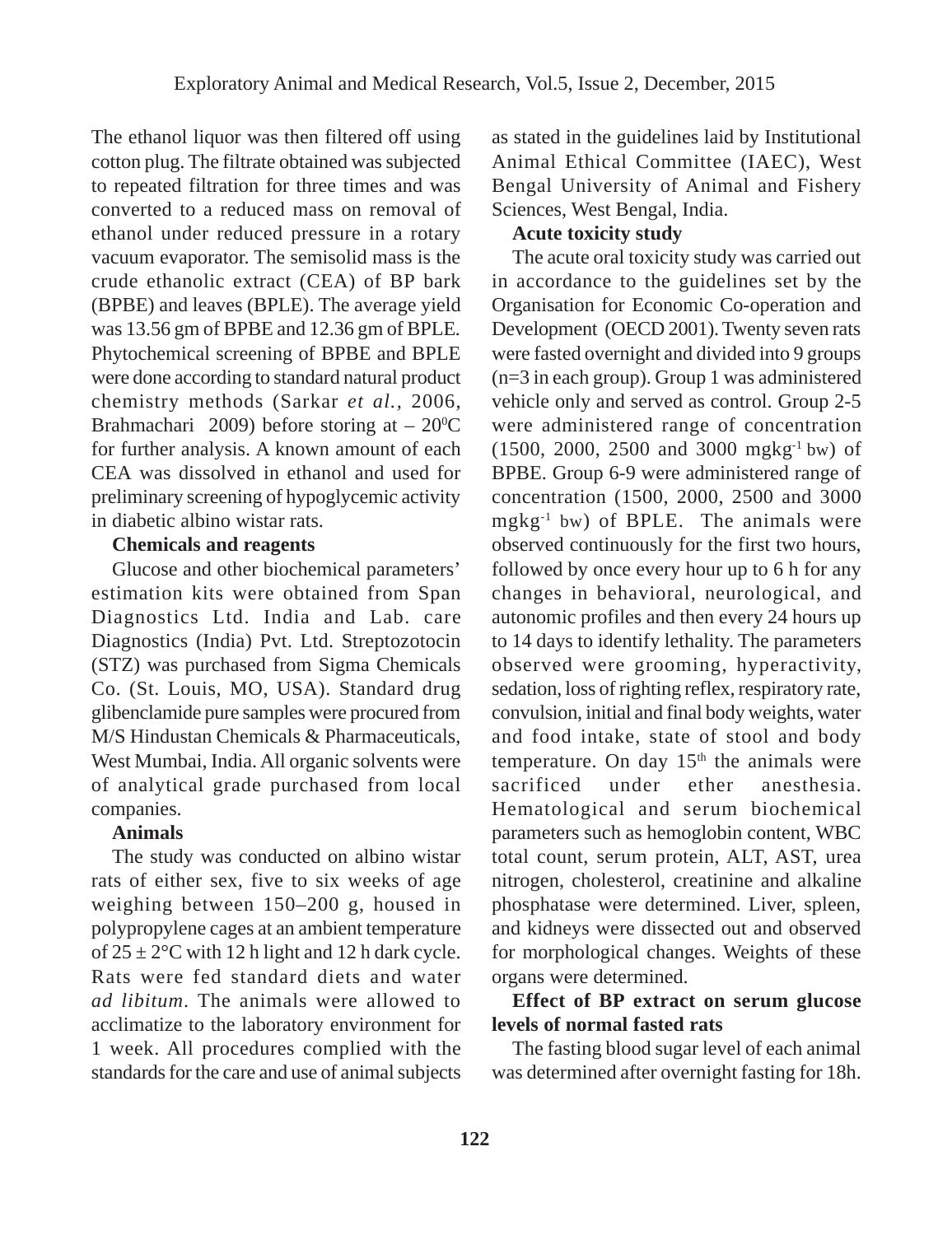The ethanol liquor was then filtered off using cotton plug. The filtrate obtained was subjected to repeated filtration for three times and was converted to a reduced mass on removal of ethanol under reduced pressure in a rotary vacuum evaporator. The semisolid mass is the crude ethanolic extract (CEA) of BP bark (BPBE) and leaves (BPLE). The average yield was 13.56 gm of BPBE and 12.36 gm of BPLE*.* Phytochemical screening of BPBE and BPLE were done according to standard natural product chemistry methods (Sarkar *et al.,* 2006, Brahmachari 2009) before storing at  $-20^{\circ}$ C for further analysis. A known amount of each CEA was dissolved in ethanol and used for preliminary screening of hypoglycemic activity in diabetic albino wistar rats.

#### **Chemicals and reagents**

Glucose and other biochemical parameters' estimation kits were obtained from Span Diagnostics Ltd. India and Lab. care Diagnostics (India) Pvt. Ltd. Streptozotocin (STZ) was purchased from Sigma Chemicals Co. (St. Louis, MO, USA). Standard drug glibenclamide pure samples were procured from M/S Hindustan Chemicals & Pharmaceuticals, West Mumbai, India. All organic solvents were of analytical grade purchased from local companies.

## **Animals**

The study was conducted on albino wistar rats of either sex, five to six weeks of age weighing between 150–200 g, housed in polypropylene cages at an ambient temperature of  $25 \pm 2$ °C with 12 h light and 12 h dark cycle. Rats were fed standard diets and water *ad libitum*. The animals were allowed to acclimatize to the laboratory environment for 1 week. All procedures complied with the standards for the care and use of animal subjects as stated in the guidelines laid by Institutional Animal Ethical Committee (IAEC), West Bengal University of Animal and Fishery Sciences, West Bengal, India.

# **Acute toxicity study**

The acute oral toxicity study was carried out in accordance to the guidelines set by the Organisation for Economic Co-operation and Development (OECD 2001). Twenty seven rats were fasted overnight and divided into 9 groups (n=3 in each group). Group 1 was administered vehicle only and served as control. Group 2-5 were administered range of concentration (1500, 2000, 2500 and 3000 mgkg-1 bw) of BPBE. Group 6-9 were administered range of concentration (1500, 2000, 2500 and 3000  $mgkg^{-1}$  bw) of BPLE. The animals were observed continuously for the first two hours, followed by once every hour up to 6 h for any changes in behavioral, neurological, and autonomic profiles and then every 24 hours up to 14 days to identify lethality. The parameters observed were grooming, hyperactivity, sedation, loss of righting reflex, respiratory rate, convulsion, initial and final body weights, water and food intake, state of stool and body temperature. On day  $15<sup>th</sup>$  the animals were sacrificed under ether anesthesia. Hematological and serum biochemical parameters such as hemoglobin content, WBC total count, serum protein, ALT, AST, urea nitrogen, cholesterol, creatinine and alkaline phosphatase were determined. Liver, spleen, and kidneys were dissected out and observed for morphological changes. Weights of these organs were determined.

# **Effect of BP extract on serum glucose levels of normal fasted rats**

The fasting blood sugar level of each animal was determined after overnight fasting for 18h.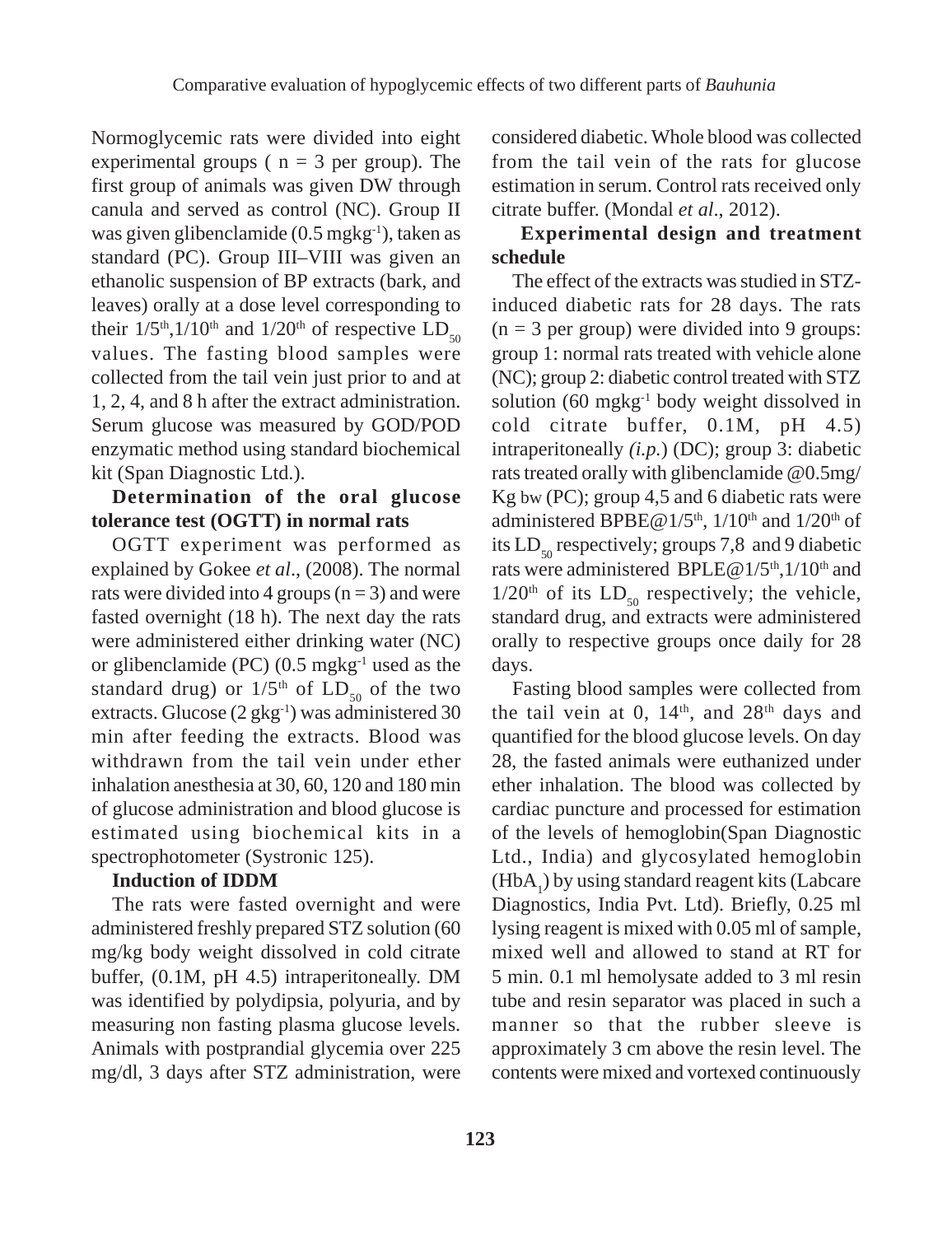Normoglycemic rats were divided into eight experimental groups ( $n = 3$  per group). The first group of animals was given DW through canula and served as control (NC). Group II was given glibenclamide (0.5 mgkg-1), taken as standard (PC). Group III–VIII was given an ethanolic suspension of BP extracts (bark, and leaves) orally at a dose level corresponding to their  $1/5$ <sup>th</sup>,1/10<sup>th</sup> and  $1/20$ <sup>th</sup> of respective LD<sub>50</sub> values. The fasting blood samples were collected from the tail vein just prior to and at 1, 2, 4, and 8 h after the extract administration. Serum glucose was measured by GOD/POD enzymatic method using standard biochemical kit (Span Diagnostic Ltd.).

## **Determination of the oral glucose tolerance test (OGTT) in normal rats**

OGTT experiment was performed as explained by Gokee *et al*., (2008). The normal rats were divided into 4 groups  $(n = 3)$  and were fasted overnight (18 h). The next day the rats were administered either drinking water (NC) or glibenclamide (PC)  $(0.5 \text{ mgkg}^{-1})$  used as the standard drug) or  $1/5<sup>th</sup>$  of LD<sub>50</sub> of the two extracts. Glucose  $(2 \text{ gkg}^{-1})$  was administered 30 min after feeding the extracts. Blood was withdrawn from the tail vein under ether inhalation anesthesia at 30, 60, 120 and 180 min of glucose administration and blood glucose is estimated using biochemical kits in a spectrophotometer (Systronic 125).

### **Induction of IDDM**

The rats were fasted overnight and were administered freshly prepared STZ solution (60 mg/kg body weight dissolved in cold citrate buffer, (0.1M, pH 4.5) intraperitoneally. DM was identified by polydipsia, polyuria, and by measuring non fasting plasma glucose levels. Animals with postprandial glycemia over 225 mg/dl, 3 days after STZ administration, were considered diabetic. Whole blood was collected from the tail vein of the rats for glucose estimation in serum. Control rats received only citrate buffer. (Mondal *et al*., 2012).

## **Experimental design and treatment schedule**

The effect of the extracts was studied in STZinduced diabetic rats for 28 days. The rats  $(n = 3$  per group) were divided into 9 groups: group 1: normal rats treated with vehicle alone (NC); group 2: diabetic control treated with STZ solution (60 mgkg-1 body weight dissolved in cold citrate buffer, 0.1M, pH 4.5) intraperitoneally *(i.p.*) (DC); group 3: diabetic rats treated orally with glibenclamide @0.5mg/ Kg bw (PC); group 4,5 and 6 diabetic rats were administered BPBE@1/5<sup>th</sup>,  $1/10$ <sup>th</sup> and  $1/20$ <sup>th</sup> of its  $LD_{so}$  respectively; groups 7,8 and 9 diabetic rats were administered BPLE@1/5<sup>th</sup>,1/10<sup>th</sup> and  $1/20<sup>th</sup>$  of its  $LD_{50}$  respectively; the vehicle, standard drug, and extracts were administered orally to respective groups once daily for 28 days.

Fasting blood samples were collected from the tail vein at 0,  $14<sup>th</sup>$ , and  $28<sup>th</sup>$  days and quantified for the blood glucose levels. On day 28, the fasted animals were euthanized under ether inhalation. The blood was collected by cardiac puncture and processed for estimation of the levels of hemoglobin(Span Diagnostic Ltd., India) and glycosylated hemoglobin  $(HbA<sub>1</sub>)$  by using standard reagent kits (Labcare Diagnostics, India Pvt. Ltd). Briefly, 0.25 ml lysing reagent is mixed with 0.05 ml of sample, mixed well and allowed to stand at RT for 5 min. 0.1 ml hemolysate added to 3 ml resin tube and resin separator was placed in such a manner so that the rubber sleeve is approximately 3 cm above the resin level. The contents were mixed and vortexed continuously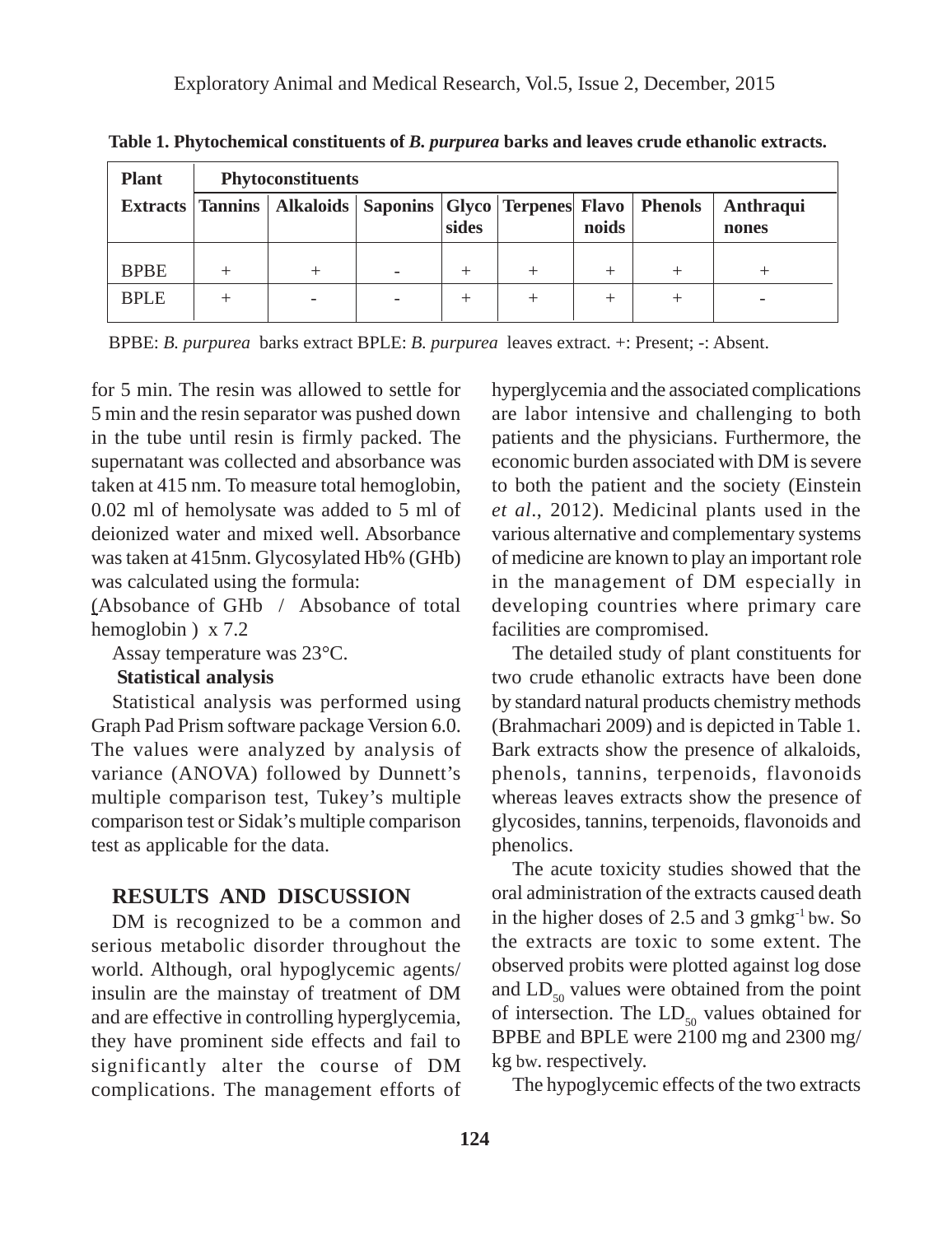| <b>Plant</b> | <b>Phytoconstituents</b> |                                                                                |  |       |  |       |  |                    |
|--------------|--------------------------|--------------------------------------------------------------------------------|--|-------|--|-------|--|--------------------|
|              |                          | Extracts   Tannins   Alkaloids   Saponins   Glyco   Terpenes   Flavo   Phenols |  | sides |  | noids |  | Anthraqui<br>nones |
| <b>BPBE</b>  |                          |                                                                                |  |       |  | $^+$  |  |                    |
| <b>BPLE</b>  |                          |                                                                                |  |       |  | $^+$  |  |                    |

**Table 1. Phytochemical constituents of** *B. purpurea* **barks and leaves crude ethanolic extracts.**

BPBE: *B. purpurea* barks extract BPLE: *B. purpurea* leaves extract. +: Present; -: Absent.

for 5 min. The resin was allowed to settle for 5 min and the resin separator was pushed down in the tube until resin is firmly packed. The supernatant was collected and absorbance was taken at 415 nm. To measure total hemoglobin, 0.02 ml of hemolysate was added to 5 ml of deionized water and mixed well. Absorbance was taken at 415nm. Glycosylated Hb% (GHb) was calculated using the formula:

(Absobance of GHb / Absobance of total hemoglobin ) x 7.2

Assay temperature was 23°C.

#### **Statistical analysis**

Statistical analysis was performed using Graph Pad Prism software package Version 6.0. The values were analyzed by analysis of variance (ANOVA) followed by Dunnett's multiple comparison test, Tukey's multiple comparison test or Sidak's multiple comparison test as applicable for the data.

## **RESULTS AND DISCUSSION**

DM is recognized to be a common and serious metabolic disorder throughout the world. Although, oral hypoglycemic agents/ insulin are the mainstay of treatment of DM and are effective in controlling hyperglycemia, they have prominent side effects and fail to significantly alter the course of DM complications. The management efforts of hyperglycemia and the associated complications are labor intensive and challenging to both patients and the physicians. Furthermore, the economic burden associated with DM is severe to both the patient and the society (Einstein *et al*., 2012). Medicinal plants used in the various alternative and complementary systems of medicine are known to play an important role in the management of DM especially in developing countries where primary care facilities are compromised.

The detailed study of plant constituents for two crude ethanolic extracts have been done by standard natural products chemistry methods (Brahmachari 2009) and is depicted in Table 1. Bark extracts show the presence of alkaloids, phenols, tannins, terpenoids, flavonoids whereas leaves extracts show the presence of glycosides, tannins, terpenoids, flavonoids and phenolics.

The acute toxicity studies showed that the oral administration of the extracts caused death in the higher doses of 2.5 and 3  $gmkg<sup>-1</sup>$  bw. So the extracts are toxic to some extent. The observed probits were plotted against log dose and  $LD_{50}$  values were obtained from the point of intersection. The  $LD_{50}$  values obtained for BPBE and BPLE were 2100 mg and 2300 mg/ kg bw. respectively.

The hypoglycemic effects of the two extracts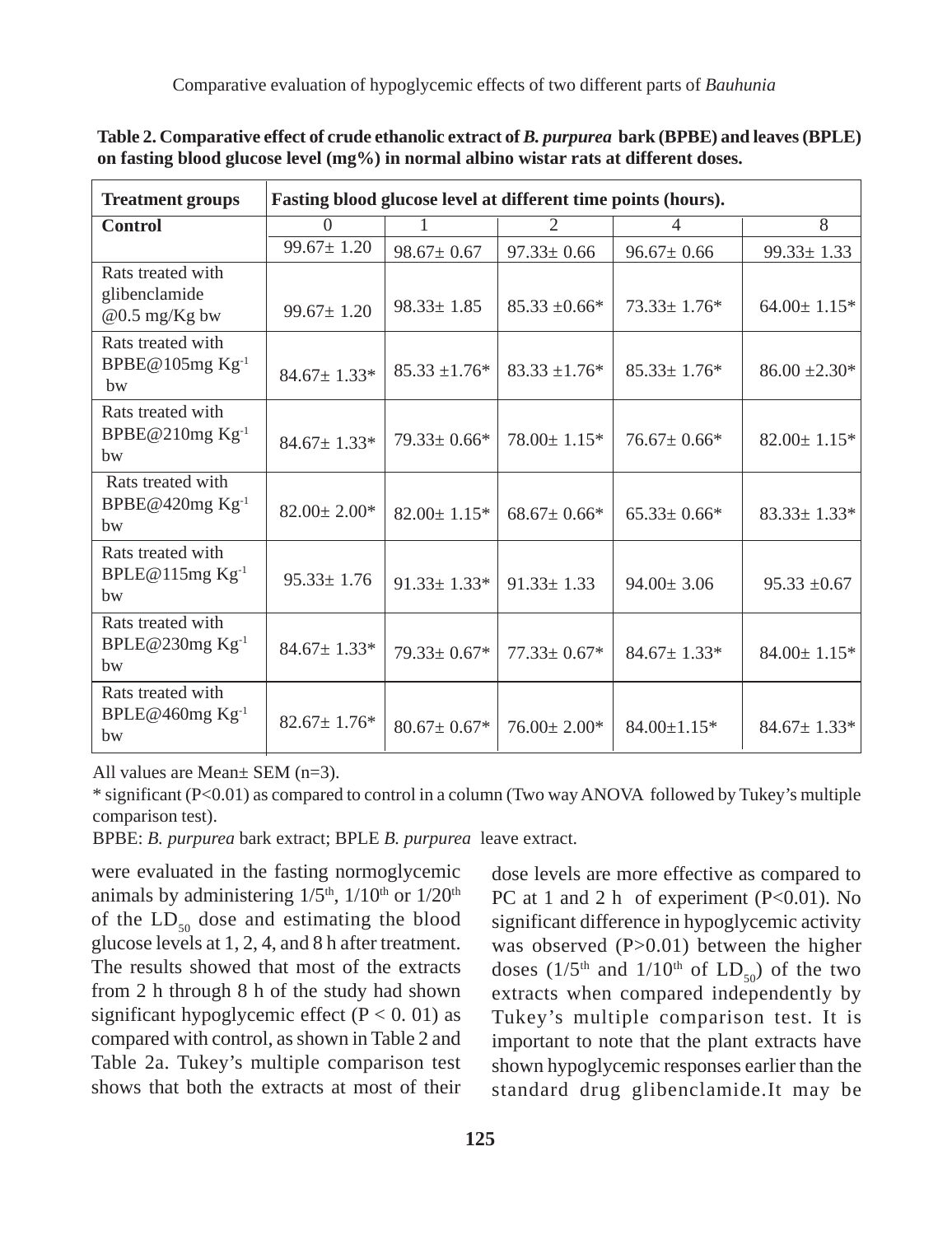| <b>Treatment groups</b>                                | Fasting blood glucose level at different time points (hours). |                               |                    |                    |                    |  |  |  |
|--------------------------------------------------------|---------------------------------------------------------------|-------------------------------|--------------------|--------------------|--------------------|--|--|--|
| <b>Control</b>                                         | $\Omega$                                                      | 1                             | $\overline{c}$     | $\overline{4}$     | 8                  |  |  |  |
|                                                        | $99.67 \pm 1.20$                                              | $98.67 \pm 0.67$              | $97.33 \pm 0.66$   | $96.67 \pm 0.66$   | $99.33 \pm 1.33$   |  |  |  |
| Rats treated with<br>glibenclamide<br>$@0.5$ mg/Kg bw  | $99.67 \pm 1.20$                                              | $98.33 \pm 1.85$              | $85.33 \pm 0.66*$  | $73.33 \pm 1.76*$  | $64.00 \pm 1.15$ * |  |  |  |
| Rats treated with<br>BPBE@105mg Kg-1<br>bw             | $84.67 \pm 1.33*$                                             | $85.33 \pm 1.76*$             | $83.33 \pm 1.76*$  | $85.33 \pm 1.76*$  | $86.00 \pm 2.30*$  |  |  |  |
| Rats treated with<br>BPBE@210mg Kg <sup>-1</sup><br>bw | $84.67 \pm 1.33*$                                             | $79.33 \pm 0.66*$             | $78.00 \pm 1.15^*$ | $76.67 \pm 0.66*$  | $82.00 \pm 1.15$ * |  |  |  |
| Rats treated with<br>BPBE@420mg $Kg^{-1}$<br>bw        | $82.00 \pm 2.00*$                                             | $82.00 \pm 1.15^*$            | $68.67 \pm 0.66*$  | $65.33 \pm 0.66*$  | $83.33 \pm 1.33^*$ |  |  |  |
| Rats treated with<br>BPLE@115mg Kg <sup>-1</sup><br>bw | $95.33 \pm 1.76$                                              | $91.33 \pm 1.33^*$            | $91.33 \pm 1.33$   | $94.00 \pm 3.06$   | $95.33 \pm 0.67$   |  |  |  |
| Rats treated with<br>BPLE@230mg Kg <sup>-1</sup><br>hw | $84.67 \pm 1.33*$                                             | $79.33 \pm 0.67*$             | $77.33 \pm 0.67*$  | $84.67 \pm 1.33*$  | $84.00 \pm 1.15*$  |  |  |  |
| Rats treated with<br>BPLE@460mg Kg-1<br>bw             | $82.67 \pm 1.76*$                                             | $80.67 \pm 0.67$ <sup>*</sup> | $76.00 \pm 2.00*$  | $84.00 \pm 1.15$ * | $84.67 \pm 1.33*$  |  |  |  |

**Table 2. Comparative effect of crude ethanolic extract of** *B. purpurea* **bark (BPBE) and leaves (BPLE) on fasting blood glucose level (mg%) in normal albino wistar rats at different doses.**

All values are Mean± SEM (n=3).

\* significant (P<0.01) as compared to control in a column (Two way ANOVA followed by Tukey's multiple comparison test).

BPBE: *B. purpurea* bark extract; BPLE *B. purpurea* leave extract.

were evaluated in the fasting normoglycemic animals by administering  $1/5<sup>th</sup>$ ,  $1/10<sup>th</sup>$  or  $1/20<sup>th</sup>$ of the  $LD_{50}$  dose and estimating the blood glucose levels at 1, 2, 4, and 8 h after treatment. The results showed that most of the extracts from 2 h through 8 h of the study had shown significant hypoglycemic effect  $(P < 0.01)$  as compared with control, as shown in Table 2 and Table 2a. Tukey's multiple comparison test shows that both the extracts at most of their dose levels are more effective as compared to PC at 1 and 2 h of experiment  $(P<0.01)$ . No significant difference in hypoglycemic activity was observed (P>0.01) between the higher doses ( $1/5$ <sup>th</sup> and  $1/10$ <sup>th</sup> of  $LD_{50}$ ) of the two extracts when compared independently by Tukey's multiple comparison test. It is important to note that the plant extracts have shown hypoglycemic responses earlier than the standard drug glibenclamide.It may be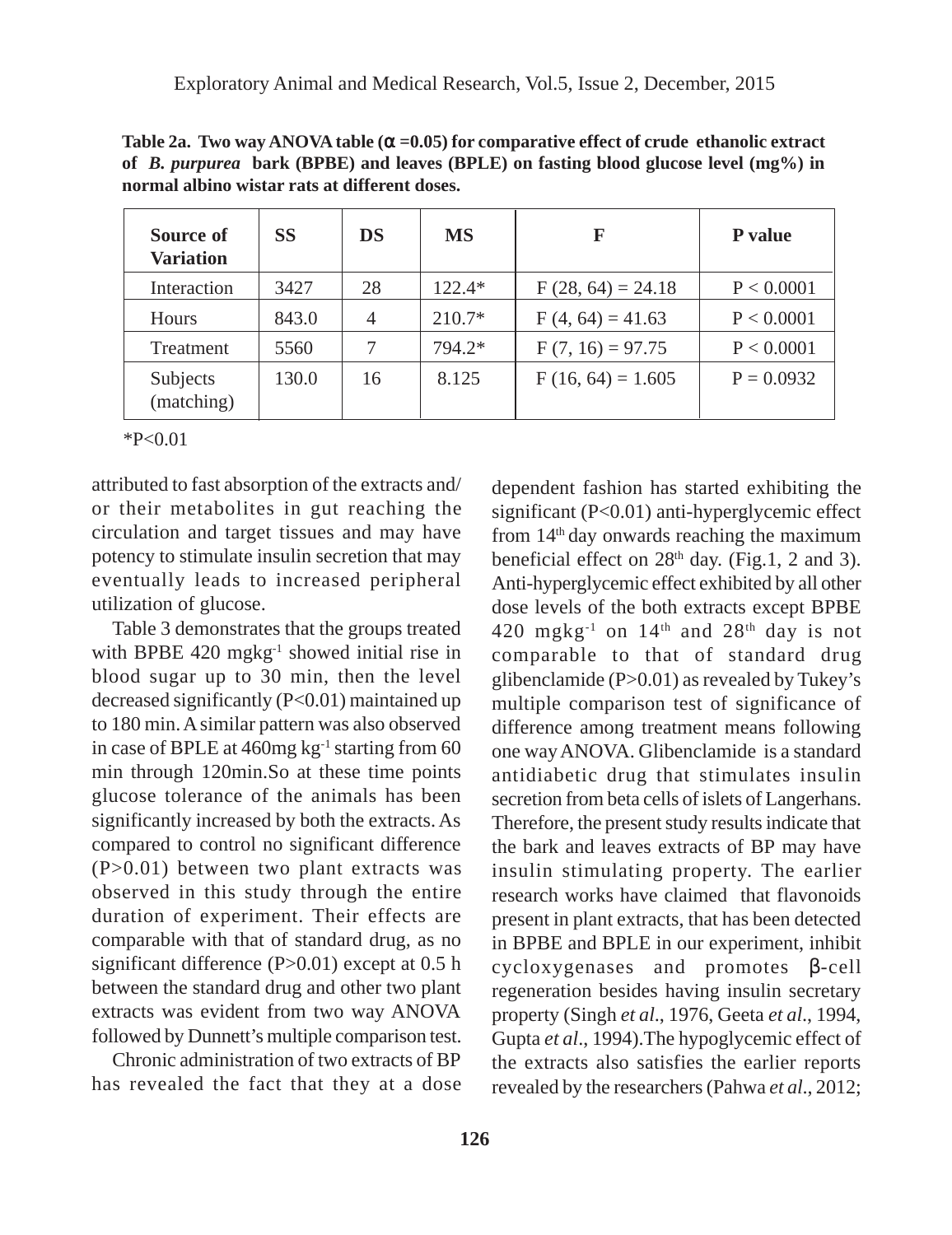| Source of<br><b>Variation</b> | <b>SS</b> | DS             | <b>MS</b> | F                   | <b>P</b> value |
|-------------------------------|-----------|----------------|-----------|---------------------|----------------|
| Interaction                   | 3427      | 28             | $122.4*$  | $F(28, 64) = 24.18$ | P < 0.0001     |
| <b>Hours</b>                  | 843.0     | $\overline{4}$ | $210.7*$  | $F(4, 64) = 41.63$  | P < 0.0001     |
| Treatment                     | 5560      |                | 794.2*    | $F(7, 16) = 97.75$  | P < 0.0001     |
| Subjects<br>(matching)        | 130.0     | 16             | 8.125     | $F(16, 64) = 1.605$ | $P = 0.0932$   |

**Table 2a. Two way ANOVA table (**α **=0.05) for comparative effect of crude ethanolic extract of** *B. purpurea* **bark (BPBE) and leaves (BPLE) on fasting blood glucose level (mg%) in normal albino wistar rats at different doses.**

 $*P<0.01$ 

attributed to fast absorption of the extracts and/ or their metabolites in gut reaching the circulation and target tissues and may have potency to stimulate insulin secretion that may eventually leads to increased peripheral utilization of glucose.

Table 3 demonstrates that the groups treated with BPBE 420 mgkg<sup>-1</sup> showed initial rise in blood sugar up to 30 min, then the level decreased significantly (P<0.01) maintained up to 180 min. A similar pattern was also observed in case of BPLE at  $460$ mg kg<sup>-1</sup> starting from 60 min through 120min.So at these time points glucose tolerance of the animals has been significantly increased by both the extracts. As compared to control no significant difference (P>0.01) between two plant extracts was observed in this study through the entire duration of experiment. Their effects are comparable with that of standard drug, as no significant difference (P>0.01) except at 0.5 h between the standard drug and other two plant extracts was evident from two way ANOVA followed by Dunnett's multiple comparison test.

Chronic administration of two extracts of BP has revealed the fact that they at a dose dependent fashion has started exhibiting the significant  $(P<0.01)$  anti-hyperglycemic effect from  $14<sup>th</sup>$  day onwards reaching the maximum beneficial effect on  $28<sup>th</sup>$  day. (Fig.1, 2 and 3). Anti-hyperglycemic effect exhibited by all other dose levels of the both extracts except BPBE 420 mgkg<sup>-1</sup> on  $14<sup>th</sup>$  and  $28<sup>th</sup>$  day is not comparable to that of standard drug glibenclamide (P>0.01) as revealed by Tukey's multiple comparison test of significance of difference among treatment means following one way ANOVA. Glibenclamide is a standard antidiabetic drug that stimulates insulin secretion from beta cells of islets of Langerhans. Therefore, the present study results indicate that the bark and leaves extracts of BP may have insulin stimulating property. The earlier research works have claimed that flavonoids present in plant extracts, that has been detected in BPBE and BPLE in our experiment, inhibit cycloxygenases and promotes β-cell regeneration besides having insulin secretary property (Singh *et al*., 1976, Geeta *et al*., 1994, Gupta *et al*., 1994).The hypoglycemic effect of the extracts also satisfies the earlier reports revealed by the researchers (Pahwa *et al*., 2012;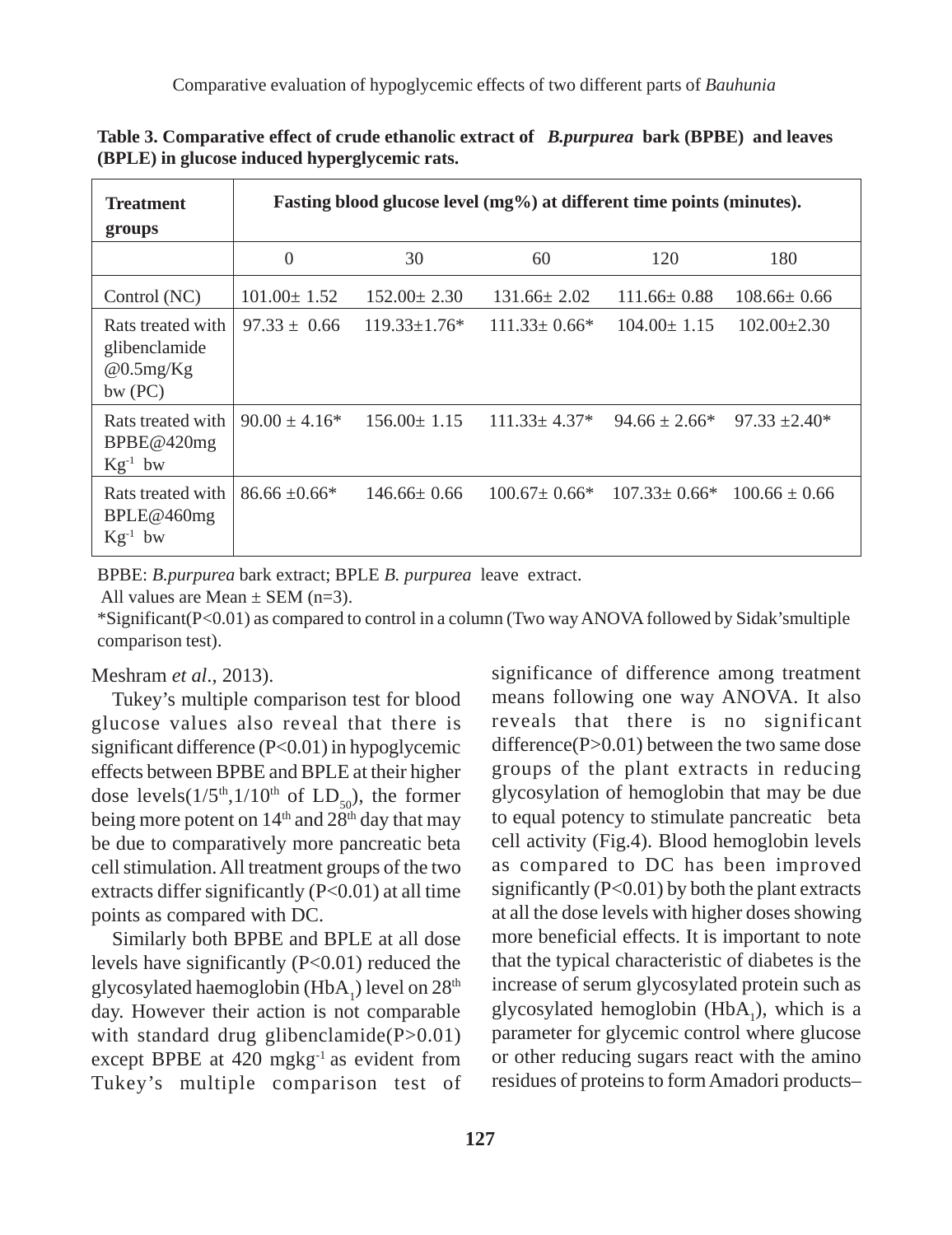| <b>Treatment</b><br>groups                                         | Fasting blood glucose level (mg%) at different time points (minutes). |                    |                     |                                       |                    |  |  |  |
|--------------------------------------------------------------------|-----------------------------------------------------------------------|--------------------|---------------------|---------------------------------------|--------------------|--|--|--|
|                                                                    | $\Omega$                                                              | 30                 | 60                  | 120                                   | 180                |  |  |  |
| Control (NC)                                                       | $101.00 \pm 1.52$                                                     | $152.00 \pm 2.30$  | $131.66 \pm 2.02$   | $111.66 \pm 0.88$                     | $108.66 \pm 0.66$  |  |  |  |
| Rats treated with<br>glibenclamide<br>@0.5mg/Kg<br>$bw$ (PC)       | $97.33 \pm 0.66$                                                      | $119.33 \pm 1.76*$ | $111.33 \pm 0.66^*$ | $104.00 \pm 1.15$                     | $102.00 \pm 2.30$  |  |  |  |
| Rats treated with<br>BPE@420mg<br>$Kg^{-1}$ bw                     | $90.00 \pm 4.16*$                                                     | $156.00 \pm 1.15$  | $111.33 \pm 4.37*$  | $94.66 \pm 2.66^*$                    | $97.33 \pm 2.40^*$ |  |  |  |
| Rats treated with<br>BPLE@460mg<br>$\mathrm{Kg}^{\text{-1}}$<br>bw | $86.66 \pm 0.66*$                                                     | $146.66 \pm 0.66$  | $100.67 \pm 0.66^*$ | $107.33 \pm 0.66^*$ 100.66 $\pm$ 0.66 |                    |  |  |  |

**Table 3. Comparative effect of crude ethanolic extract of** *B.purpurea* **bark (BPBE) and leaves (BPLE) in glucose induced hyperglycemic rats.**

BPBE: *B.purpurea* bark extract; BPLE *B. purpurea* leave extract.

All values are Mean  $\pm$  SEM (n=3).

\*Significant(P<0.01) as compared to control in a column (Two way ANOVA followed by Sidak'smultiple comparison test).

#### Meshram *et al*., 2013).

Tukey's multiple comparison test for blood glucose values also reveal that there is significant difference (P<0.01) in hypoglycemic effects between BPBE and BPLE at their higher dose levels $(1/5<sup>th</sup>,1/10<sup>th</sup>$  of  $LD<sub>50</sub>$ ), the former being more potent on  $14<sup>th</sup>$  and  $28<sup>th</sup>$  day that may be due to comparatively more pancreatic beta cell stimulation. All treatment groups of the two extracts differ significantly  $(P<0.01)$  at all time points as compared with DC.

Similarly both BPBE and BPLE at all dose levels have significantly (P<0.01) reduced the glycosylated haemoglobin (HbA<sub>1</sub>) level on  $28<sup>th</sup>$ day. However their action is not comparable with standard drug glibenclamide $(P>0.01)$ except BPBE at 420 mgkg<sup>-1</sup> as evident from Tukey's multiple comparison test of significance of difference among treatment means following one way ANOVA. It also reveals that there is no significant difference(P>0.01) between the two same dose groups of the plant extracts in reducing glycosylation of hemoglobin that may be due to equal potency to stimulate pancreatic beta cell activity (Fig.4). Blood hemoglobin levels as compared to DC has been improved significantly  $(P<0.01)$  by both the plant extracts at all the dose levels with higher doses showing more beneficial effects. It is important to note that the typical characteristic of diabetes is the increase of serum glycosylated protein such as glycosylated hemoglobin  $(HbA<sub>1</sub>)$ , which is a parameter for glycemic control where glucose or other reducing sugars react with the amino residues of proteins to form Amadori products–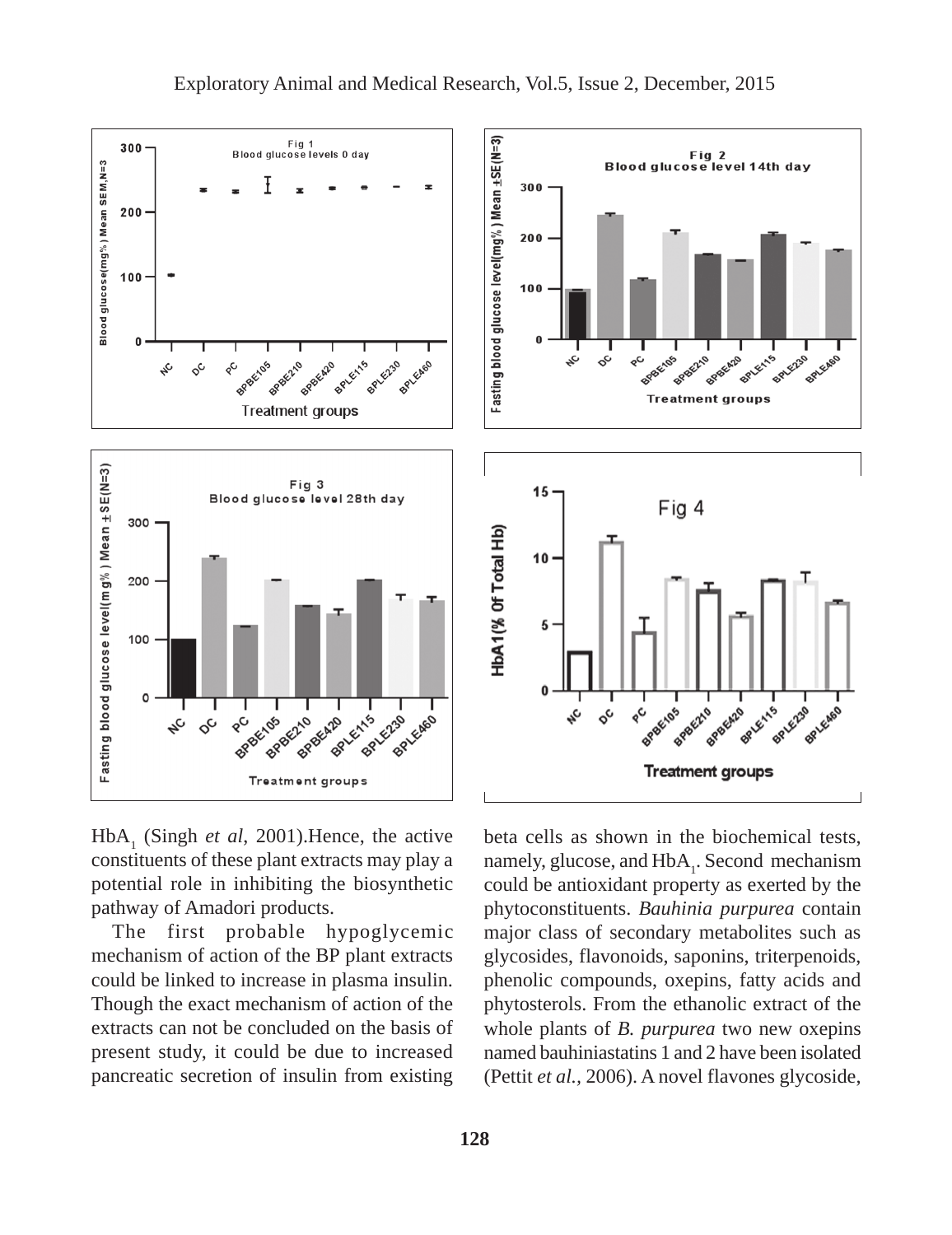





 $HbA<sub>1</sub>$  (Singh *et al*, 2001). Hence, the active constituents of these plant extracts may play a potential role in inhibiting the biosynthetic pathway of Amadori products.

The first probable hypoglycemic mechanism of action of the BP plant extracts could be linked to increase in plasma insulin. Though the exact mechanism of action of the extracts can not be concluded on the basis of present study, it could be due to increased pancreatic secretion of insulin from existing

beta cells as shown in the biochemical tests, namely, glucose, and HbA<sub>1</sub>. Second mechanism could be antioxidant property as exerted by the phytoconstituents. *Bauhinia purpurea* contain major class of secondary metabolites such as glycosides, flavonoids, saponins, triterpenoids, phenolic compounds, oxepins, fatty acids and phytosterols. From the ethanolic extract of the whole plants of *B. purpurea* two new oxepins named bauhiniastatins 1 and 2 have been isolated (Pettit *et al.,* 2006). A novel flavones glycoside,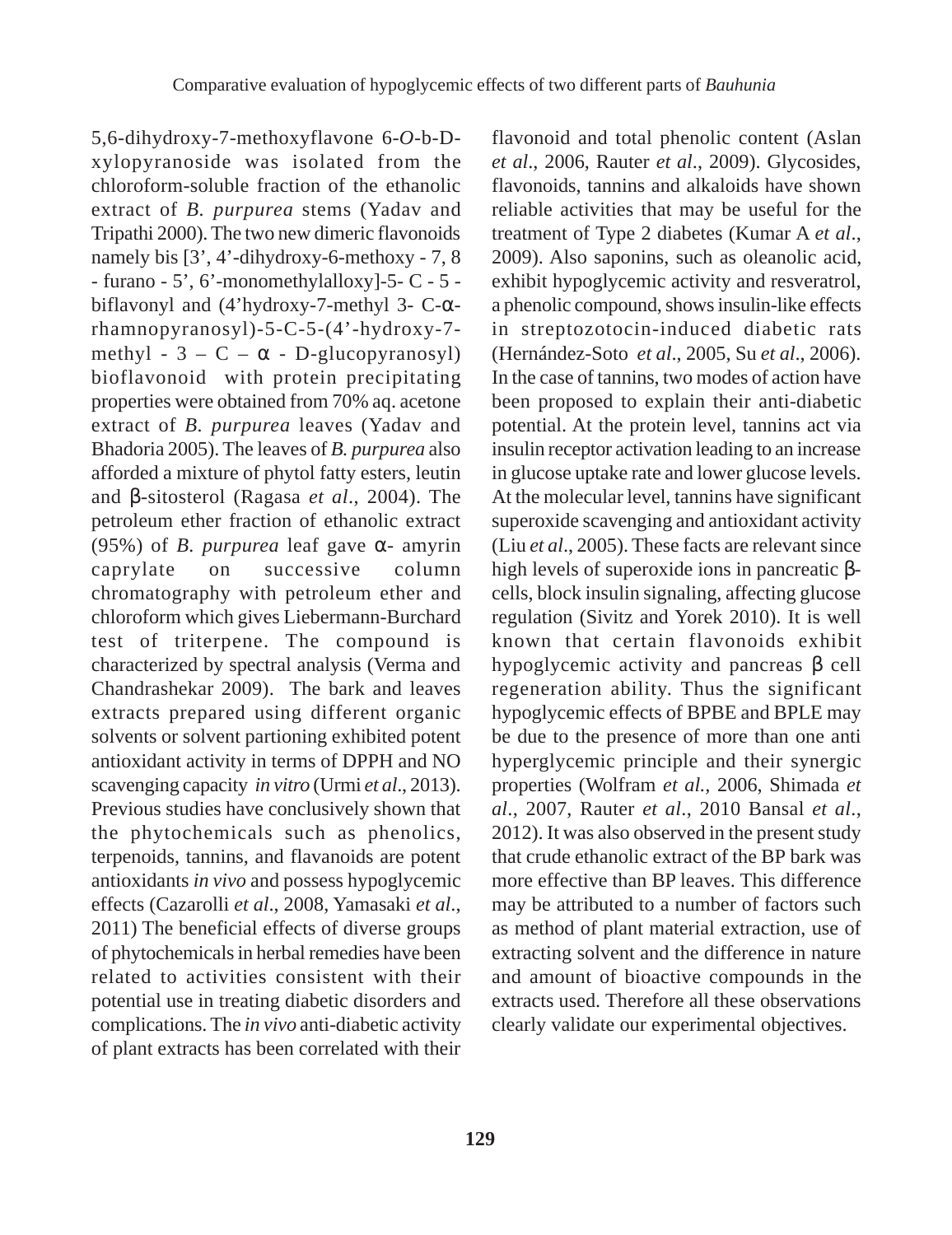5,6-dihydroxy-7-methoxyflavone 6-*O-*b-Dxylopyranoside was isolated from the chloroform-soluble fraction of the ethanolic extract of *B. purpurea* stems (Yadav and Tripathi 2000). The two new dimeric flavonoids namely bis [3', 4'-dihydroxy-6-methoxy - 7, 8 - furano - 5', 6'-monomethylalloxy]-5- C - 5 biflavonyl and (4'hydroxy-7-methyl 3- C-αrhamnopyranosyl)-5-C-5-(4'-hydroxy-7 methyl -  $3 - C - \alpha$  - D-glucopyranosyl) bioflavonoid with protein precipitating properties were obtained from 70% aq. acetone extract of *B. purpurea* leaves (Yadav and Bhadoria 2005). The leaves of *B. purpurea* also afforded a mixture of phytol fatty esters, leutin and β-sitosterol (Ragasa *et al*., 2004). The petroleum ether fraction of ethanolic extract (95%) of *B. purpurea* leaf gave α- amyrin caprylate on successive column chromatography with petroleum ether and chloroform which gives Liebermann-Burchard test of triterpene. The compound is characterized by spectral analysis (Verma and Chandrashekar 2009). The bark and leaves extracts prepared using different organic solvents or solvent partioning exhibited potent antioxidant activity in terms of DPPH and NO scavenging capacity *in vitro* (Urmi *et al*., 2013). Previous studies have conclusively shown that the phytochemicals such as phenolics, terpenoids, tannins, and flavanoids are potent antioxidants *in vivo* and possess hypoglycemic effects (Cazarolli *et al*., 2008, Yamasaki *et al*., 2011) The beneficial effects of diverse groups of phytochemicals in herbal remedies have been related to activities consistent with their potential use in treating diabetic disorders and complications. The *in vivo* anti-diabetic activity of plant extracts has been correlated with their

flavonoid and total phenolic content (Aslan *et al*., 2006, Rauter *et al*., 2009). Glycosides, flavonoids, tannins and alkaloids have shown reliable activities that may be useful for the treatment of Type 2 diabetes (Kumar A *et al*., 2009). Also saponins, such as oleanolic acid, exhibit hypoglycemic activity and resveratrol, a phenolic compound, shows insulin-like effects in streptozotocin-induced diabetic rats (Hernández-Soto *et al*., 2005, Su *et al*., 2006). In the case of tannins, two modes of action have been proposed to explain their anti-diabetic potential. At the protein level, tannins act via insulin receptor activation leading to an increase in glucose uptake rate and lower glucose levels. At the molecular level, tannins have significant superoxide scavenging and antioxidant activity (Liu *et al*., 2005). These facts are relevant since high levels of superoxide ions in pancreatic βcells, block insulin signaling, affecting glucose regulation (Sivitz and Yorek 2010). It is well known that certain flavonoids exhibit hypoglycemic activity and pancreas β cell regeneration ability. Thus the significant hypoglycemic effects of BPBE and BPLE may be due to the presence of more than one anti hyperglycemic principle and their synergic properties (Wolfram *et al.,* 2006, Shimada *et al*., 2007, Rauter *et al*., 2010 Bansal *et al*., 2012). It was also observed in the present study that crude ethanolic extract of the BP bark was more effective than BP leaves. This difference may be attributed to a number of factors such as method of plant material extraction, use of extracting solvent and the difference in nature and amount of bioactive compounds in the extracts used. Therefore all these observations clearly validate our experimental objectives.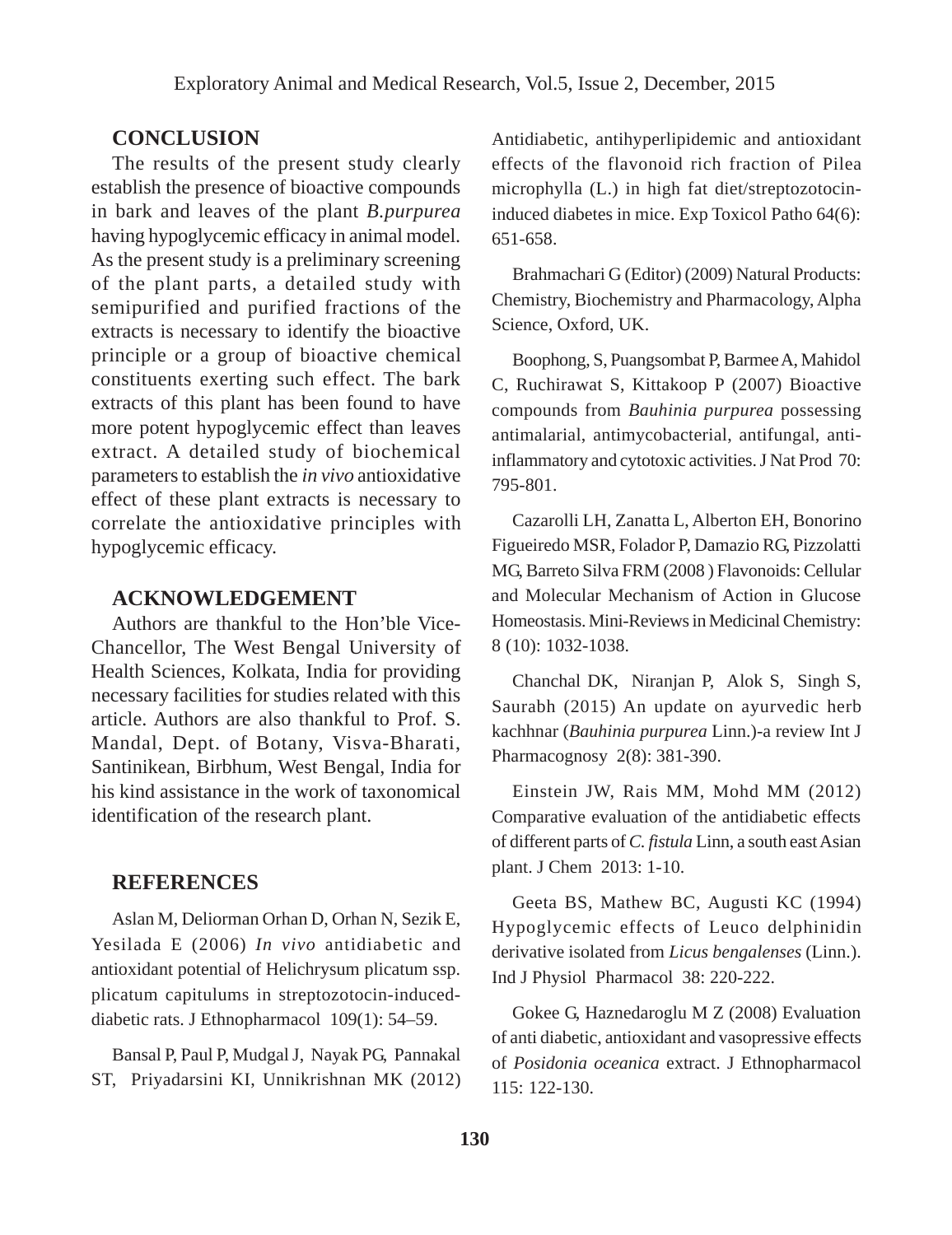# **CONCLUSION**

The results of the present study clearly establish the presence of bioactive compounds in bark and leaves of the plant *B.purpurea* having hypoglycemic efficacy in animal model. As the present study is a preliminary screening of the plant parts, a detailed study with semipurified and purified fractions of the extracts is necessary to identify the bioactive principle or a group of bioactive chemical constituents exerting such effect. The bark extracts of this plant has been found to have more potent hypoglycemic effect than leaves extract. A detailed study of biochemical parameters to establish the *in vivo* antioxidative effect of these plant extracts is necessary to correlate the antioxidative principles with hypoglycemic efficacy.

#### **ACKNOWLEDGEMENT**

Authors are thankful to the Hon'ble Vice-Chancellor, The West Bengal University of Health Sciences, Kolkata, India for providing necessary facilities for studies related with this article. Authors are also thankful to Prof. S. Mandal, Dept. of Botany, Visva-Bharati, Santinikean, Birbhum, West Bengal, India for his kind assistance in the work of taxonomical identification of the research plant.

#### **REFERENCES**

Aslan M, Deliorman Orhan D, Orhan N, Sezik E, Yesilada E (2006) *In vivo* antidiabetic and antioxidant potential of Helichrysum plicatum ssp. plicatum capitulums in streptozotocin-induceddiabetic rats. J Ethnopharmacol 109(1): 54–59.

Bansal P, Paul P, Mudgal J, Nayak PG, Pannakal ST, Priyadarsini KI, Unnikrishnan MK (2012) Antidiabetic, antihyperlipidemic and antioxidant effects of the flavonoid rich fraction of Pilea microphylla (L.) in high fat diet/streptozotocininduced diabetes in mice. Exp Toxicol Patho 64(6): 651-658.

Brahmachari G (Editor) (2009) Natural Products: Chemistry, Biochemistry and Pharmacology, Alpha Science, Oxford, UK.

Boophong, S, Puangsombat P, Barmee A, Mahidol C, Ruchirawat S, Kittakoop P (2007) Bioactive compounds from *Bauhinia purpurea* possessing antimalarial, antimycobacterial, antifungal, antiinflammatory and cytotoxic activities. J Nat Prod 70: 795-801.

Cazarolli LH, Zanatta L, Alberton EH, Bonorino Figueiredo MSR, Folador P, Damazio RG, Pizzolatti MG, Barreto Silva FRM (2008 ) Flavonoids: Cellular and Molecular Mechanism of Action in Glucose Homeostasis. Mini-Reviews in Medicinal Chemistry: 8 (10): 1032-1038.

Chanchal DK, Niranjan P, Alok S, Singh S, Saurabh (2015) An update on ayurvedic herb kachhnar (*Bauhinia purpurea* Linn.)-a review Int J Pharmacognosy 2(8): 381-390.

Einstein JW, Rais MM, Mohd MM (2012) Comparative evaluation of the antidiabetic effects of different parts of *C. fistula* Linn, a south east Asian plant. J Chem 2013: 1-10.

Geeta BS, Mathew BC, Augusti KC (1994) Hypoglycemic effects of Leuco delphinidin derivative isolated from *Licus bengalenses* (Linn.). Ind J Physiol Pharmacol 38: 220-222.

Gokee G, Haznedaroglu M Z (2008) Evaluation of anti diabetic, antioxidant and vasopressive effects of *Posidonia oceanica* extract. J Ethnopharmacol 115: 122-130.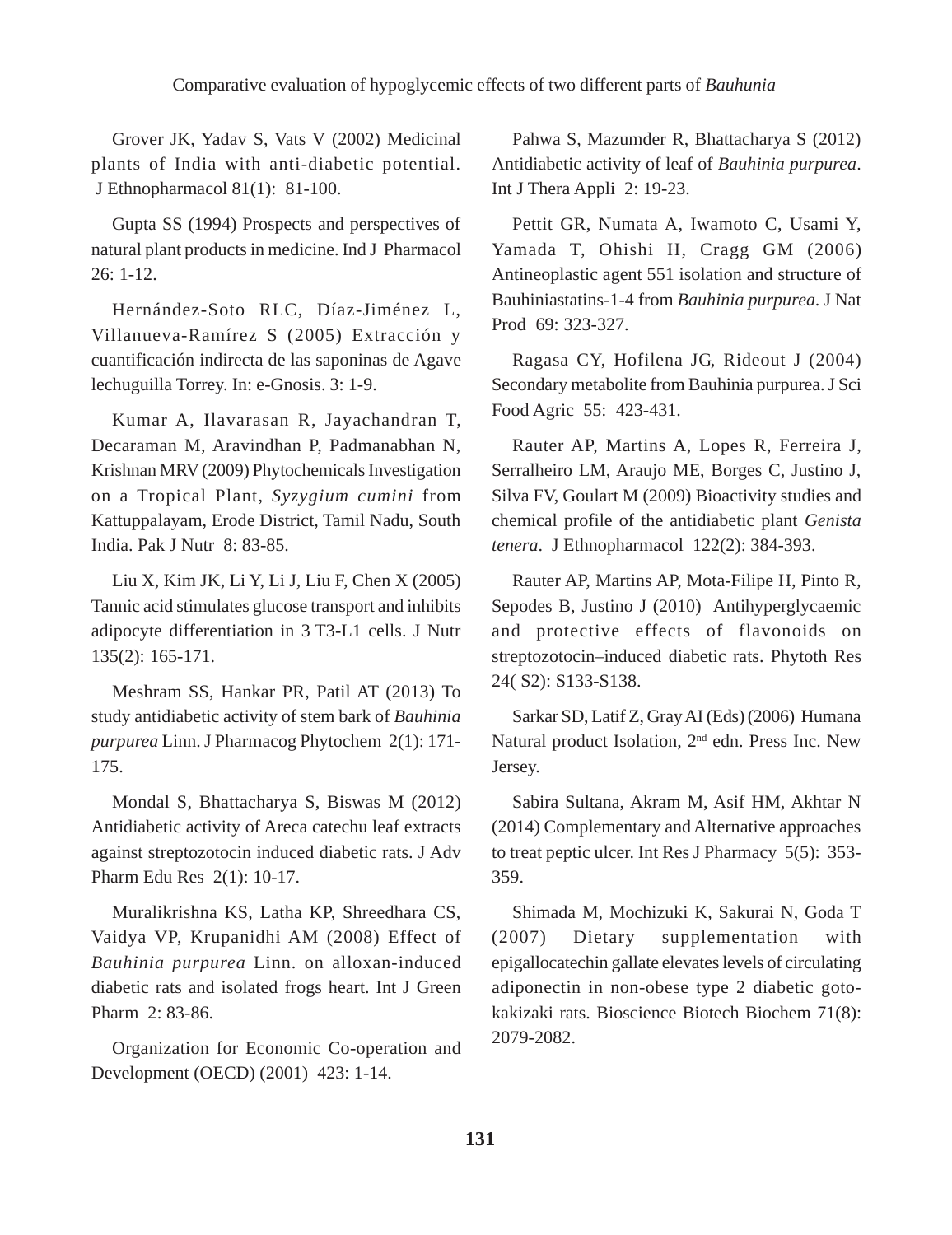Grover JK, Yadav S, Vats V (2002) Medicinal plants of India with anti-diabetic potential. J Ethnopharmacol 81(1): 81-100.

Gupta SS (1994) Prospects and perspectives of natural plant products in medicine. Ind J Pharmacol 26: 1-12.

Hernández-Soto RLC, Díaz-Jiménez L, Villanueva-Ramírez S (2005) Extracción y cuantificación indirecta de las saponinas de Agave lechuguilla Torrey. In: e-Gnosis. 3: 1-9.

Kumar A, Ilavarasan R, Jayachandran T, Decaraman M, Aravindhan P, Padmanabhan N, Krishnan MRV (2009) Phytochemicals Investigation on a Tropical Plant, *Syzygium cumini* from Kattuppalayam, Erode District, Tamil Nadu, South India. Pak J Nutr 8: 83-85.

Liu X, Kim JK, Li Y, Li J, Liu F, Chen X (2005) Tannic acid stimulates glucose transport and inhibits adipocyte differentiation in 3 T3-L1 cells. J Nutr 135(2): 165-171.

Meshram SS, Hankar PR, Patil AT (2013) To study antidiabetic activity of stem bark of *Bauhinia purpurea* Linn. J Pharmacog Phytochem 2(1): 171- 175.

Mondal S, Bhattacharya S, Biswas M (2012) Antidiabetic activity of Areca catechu leaf extracts against streptozotocin induced diabetic rats. J Adv Pharm Edu Res 2(1): 10-17.

Muralikrishna KS, Latha KP, Shreedhara CS, Vaidya VP, Krupanidhi AM (2008) Effect of *Bauhinia purpurea* Linn. on alloxan-induced diabetic rats and isolated frogs heart. Int J Green Pharm 2: 83-86.

Organization for Economic Co-operation and Development (OECD) (2001) 423: 1-14.

Pahwa S, Mazumder R, Bhattacharya S (2012) Antidiabetic activity of leaf of *Bauhinia purpurea*. Int J Thera Appli 2: 19-23.

Pettit GR, Numata A, Iwamoto C, Usami Y, Yamada T, Ohishi H, Cragg GM (2006) Antineoplastic agent 551 isolation and structure of Bauhiniastatins-1-4 from *Bauhinia purpurea*. J Nat Prod 69: 323-327.

Ragasa CY, Hofilena JG, Rideout J (2004) Secondary metabolite from Bauhinia purpurea. J Sci Food Agric 55: 423-431.

Rauter AP, Martins A, Lopes R, Ferreira J, Serralheiro LM, Araujo ME, Borges C, Justino J, Silva FV, Goulart M (2009) Bioactivity studies and chemical profile of the antidiabetic plant *Genista tenera*. J Ethnopharmacol 122(2): 384-393.

Rauter AP, Martins AP, Mota-Filipe H, Pinto R, Sepodes B, Justino J (2010) Antihyperglycaemic and protective effects of flavonoids on streptozotocin–induced diabetic rats. Phytoth Res 24( S2): S133-S138.

Sarkar SD, Latif Z, Gray AI (Eds) (2006) Humana Natural product Isolation, 2nd edn. Press Inc. New Jersey.

Sabira Sultana, Akram M, Asif HM, Akhtar N (2014) Complementary and Alternative approaches to treat peptic ulcer. Int Res J Pharmacy 5(5): 353- 359.

Shimada M, Mochizuki K, Sakurai N, Goda T (2007) Dietary supplementation with epigallocatechin gallate elevates levels of circulating adiponectin in non-obese type 2 diabetic gotokakizaki rats. Bioscience Biotech Biochem 71(8): 2079-2082.